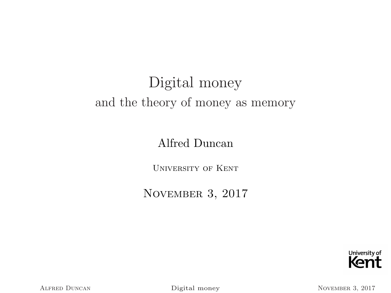# Digital money and the theory of money as memory

#### Alfred Duncan

University of Kent

November 3, 2017

<span id="page-0-0"></span>

ALFRED DUNCAN [Digital money](#page-22-0) NOVEMBER 3, 2017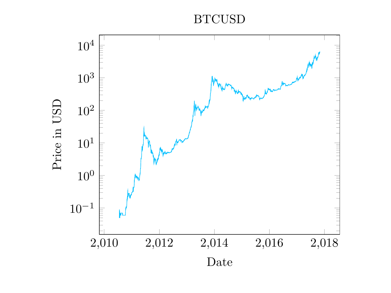BTCUSD

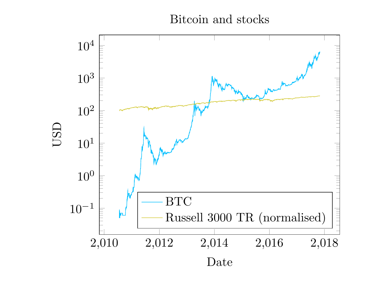Bitcoin and stocks

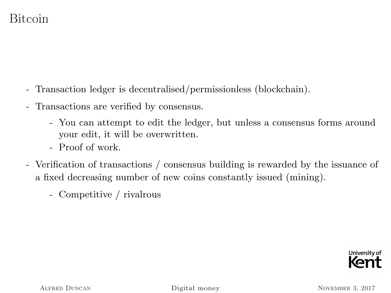## Bitcoin

- Transaction ledger is decentralised/permissionless (blockchain).
- Transactions are verified by consensus.
	- You can attempt to edit the ledger, but unless a consensus forms around your edit, it will be overwritten.
	- Proof of work.
- Verification of transactions / consensus building is rewarded by the issuance of a fixed decreasing number of new coins constantly issued (mining).
	- Competitive / rivalrous

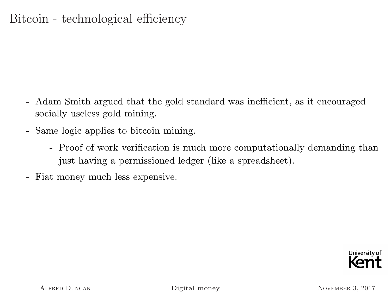## Bitcoin - technological efficiency

- Adam Smith argued that the gold standard was inefficient, as it encouraged socially useless gold mining.
- Same logic applies to bitcoin mining.
	- Proof of work verification is much more computationally demanding than just having a permissioned ledger (like a spreadsheet).
- Fiat money much less expensive.

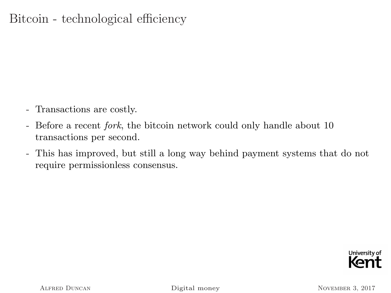## Bitcoin - technological efficiency

- Transactions are costly.
- Before a recent *fork*, the bitcoin network could only handle about 10 transactions per second.
- This has improved, but still a long way behind payment systems that do not require permissionless consensus.

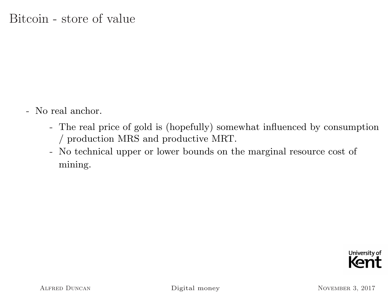- No real anchor.
	- The real price of gold is (hopefully) somewhat influenced by consumption / production MRS and productive MRT.
	- No technical upper or lower bounds on the marginal resource cost of mining.

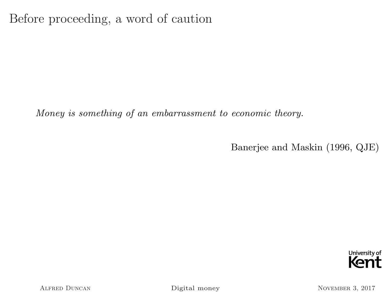Before proceeding, a word of caution

Money is something of an embarrassment to economic theory.

Banerjee and Maskin (1996, QJE)



ALFRED DUNCAN [Digital money](#page-0-0) NOVEMBER 3, 2017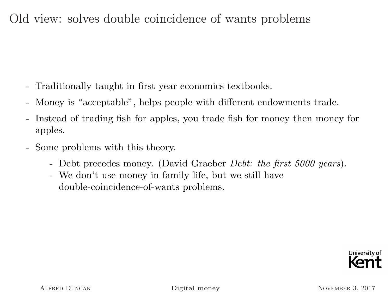## Old view: solves double coincidence of wants problems

- Traditionally taught in first year economics textbooks.
- Money is "acceptable", helps people with different endowments trade.
- Instead of trading fish for apples, you trade fish for money then money for apples.
- Some problems with this theory.
	- Debt precedes money. (David Graeber *Debt: the first 5000 years*).
	- We don't use money in family life, but we still have double-coincidence-of-wants problems.

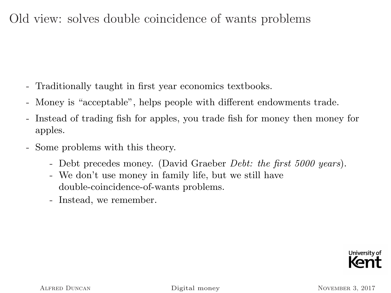## Old view: solves double coincidence of wants problems

- Traditionally taught in first year economics textbooks.
- Money is "acceptable", helps people with different endowments trade.
- Instead of trading fish for apples, you trade fish for money then money for apples.
- Some problems with this theory.
	- Debt precedes money. (David Graeber *Debt: the first 5000 years*).
	- We don't use money in family life, but we still have double-coincidence-of-wants problems.
	- Instead, we remember.

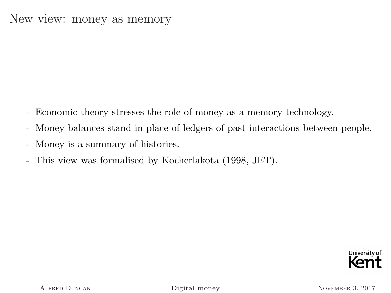#### New view: money as memory

- Economic theory stresses the role of money as a memory technology.
- Money balances stand in place of ledgers of past interactions between people.
- Money is a summary of histories.
- This view was formalised by Kocherlakota (1998, JET).

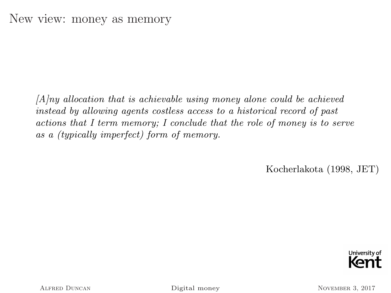$[A]$ ny allocation that is achievable using money alone could be achieved instead by allowing agents costless access to a historical record of past actions that I term memory; I conclude that the role of money is to serve as a (typically imperfect) form of memory.

Kocherlakota (1998, JET)

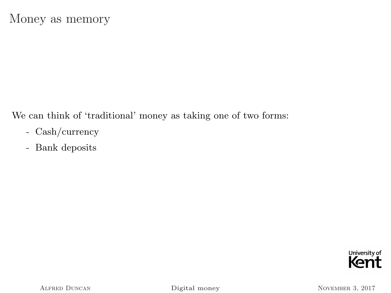We can think of 'traditional' money as taking one of two forms:

- Cash/currency
- Bank deposits

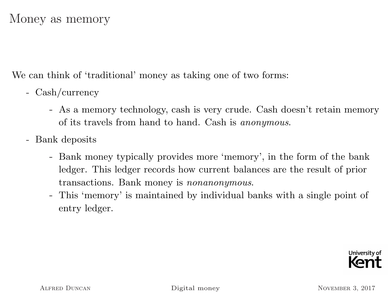We can think of 'traditional' money as taking one of two forms:

- Cash/currency
	- As a memory technology, cash is very crude. Cash doesn't retain memory of its travels from hand to hand. Cash is anonymous.
- Bank deposits
	- Bank money typically provides more 'memory', in the form of the bank ledger. This ledger records how current balances are the result of prior transactions. Bank money is nonanonymous.
	- This 'memory' is maintained by individual banks with a single point of entry ledger.

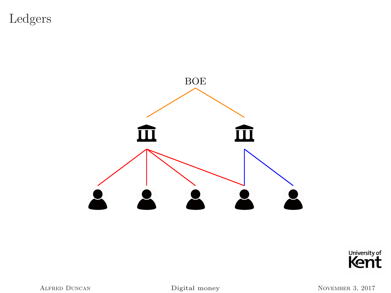Ledgers





Alfred Duncan [Digital money](#page-0-0) November 3, 2017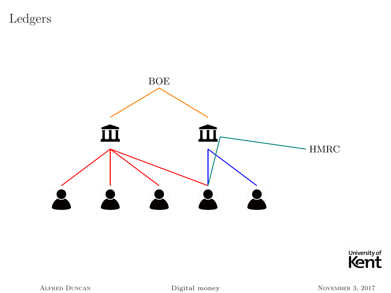Ledgers





Alfred Duncan [Digital money](#page-0-0) November 3, 2017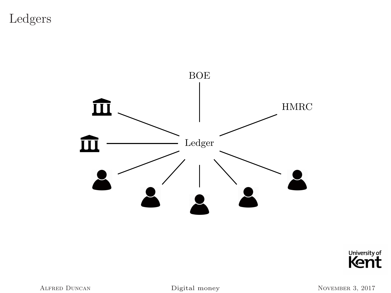Ledgers





Alfred Duncan [Digital money](#page-0-0) November 3, 2017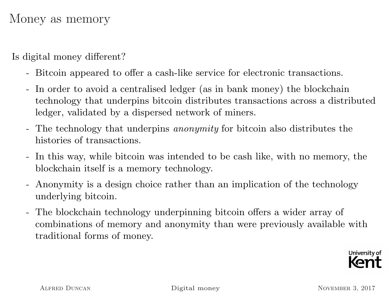#### Money as memory

Is digital money different?

- Bitcoin appeared to offer a cash-like service for electronic transactions.
- In order to avoid a centralised ledger (as in bank money) the blockchain technology that underpins bitcoin distributes transactions across a distributed ledger, validated by a dispersed network of miners.
- The technology that underpins *anonymity* for bitcoin also distributes the histories of transactions.
- In this way, while bitcoin was intended to be cash like, with no memory, the blockchain itself is a memory technology.
- Anonymity is a design choice rather than an implication of the technology underlying bitcoin.
- The blockchain technology underpinning bitcoin offers a wider array of combinations of memory and anonymity than were previously available with traditional forms of money.



ALFRED DUNCAN [Digital money](#page-0-0) NOVEMBER 3, 2017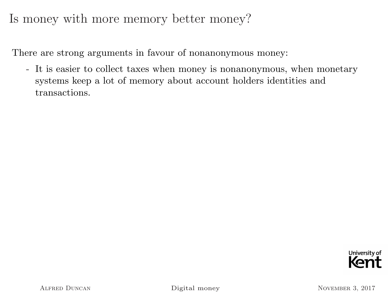#### Is money with more memory better money?

There are strong arguments in favour of nonanonymous money:

- It is easier to collect taxes when money is nonanonymous, when monetary systems keep a lot of memory about account holders identities and transactions.

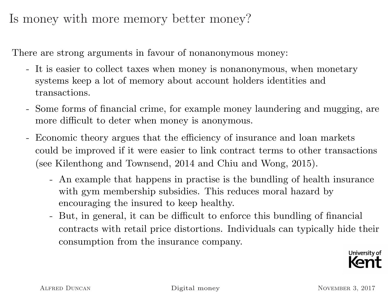Is money with more memory better money?

There are strong arguments in favour of nonanonymous money:

- It is easier to collect taxes when money is nonanonymous, when monetary systems keep a lot of memory about account holders identities and transactions.
- Some forms of financial crime, for example money laundering and mugging, are more difficult to deter when money is anonymous.
- Economic theory argues that the efficiency of insurance and loan markets could be improved if it were easier to link contract terms to other transactions (see Kilenthong and Townsend, 2014 and Chiu and Wong, 2015).
	- An example that happens in practise is the bundling of health insurance with gym membership subsidies. This reduces moral hazard by encouraging the insured to keep healthy.
	- But, in general, it can be difficult to enforce this bundling of financial contracts with retail price distortions. Individuals can typically hide their consumption from the insurance company.

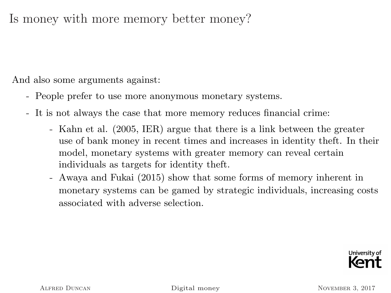Is money with more memory better money?

And also some arguments against:

- People prefer to use more anonymous monetary systems.
- It is not always the case that more memory reduces financial crime:
	- Kahn et al. (2005, IER) argue that there is a link between the greater use of bank money in recent times and increases in identity theft. In their model, monetary systems with greater memory can reveal certain individuals as targets for identity theft.
	- Awaya and Fukai (2015) show that some forms of memory inherent in monetary systems can be gamed by strategic individuals, increasing costs associated with adverse selection.

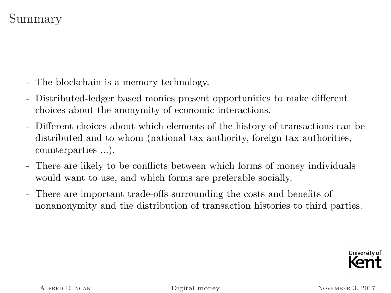# Summary

- The blockchain is a memory technology.
- Distributed-ledger based monies present opportunities to make different choices about the anonymity of economic interactions.
- Different choices about which elements of the history of transactions can be distributed and to whom (national tax authority, foreign tax authorities, counterparties ...).
- There are likely to be conflicts between which forms of money individuals would want to use, and which forms are preferable socially.
- There are important trade-offs surrounding the costs and benefits of nonanonymity and the distribution of transaction histories to third parties.